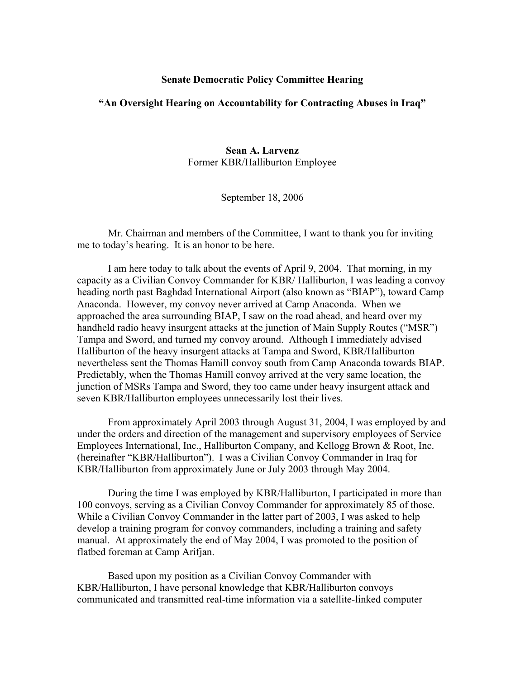## **Senate Democratic Policy Committee Hearing**

## **"An Oversight Hearing on Accountability for Contracting Abuses in Iraq"**

**Sean A. Larvenz**  Former KBR/Halliburton Employee

September 18, 2006

Mr. Chairman and members of the Committee, I want to thank you for inviting me to today's hearing. It is an honor to be here.

I am here today to talk about the events of April 9, 2004. That morning, in my capacity as a Civilian Convoy Commander for KBR/ Halliburton, I was leading a convoy heading north past Baghdad International Airport (also known as "BIAP"), toward Camp Anaconda. However, my convoy never arrived at Camp Anaconda. When we approached the area surrounding BIAP, I saw on the road ahead, and heard over my handheld radio heavy insurgent attacks at the junction of Main Supply Routes ("MSR") Tampa and Sword, and turned my convoy around. Although I immediately advised Halliburton of the heavy insurgent attacks at Tampa and Sword, KBR/Halliburton nevertheless sent the Thomas Hamill convoy south from Camp Anaconda towards BIAP. Predictably, when the Thomas Hamill convoy arrived at the very same location, the junction of MSRs Tampa and Sword, they too came under heavy insurgent attack and seven KBR/Halliburton employees unnecessarily lost their lives.

From approximately April 2003 through August 31, 2004, I was employed by and under the orders and direction of the management and supervisory employees of Service Employees International, Inc., Halliburton Company, and Kellogg Brown & Root, Inc. (hereinafter "KBR/Halliburton"). I was a Civilian Convoy Commander in Iraq for KBR/Halliburton from approximately June or July 2003 through May 2004.

During the time I was employed by KBR/Halliburton, I participated in more than 100 convoys, serving as a Civilian Convoy Commander for approximately 85 of those. While a Civilian Convoy Commander in the latter part of 2003, I was asked to help develop a training program for convoy commanders, including a training and safety manual. At approximately the end of May 2004, I was promoted to the position of flatbed foreman at Camp Arifjan.

Based upon my position as a Civilian Convoy Commander with KBR/Halliburton, I have personal knowledge that KBR/Halliburton convoys communicated and transmitted real-time information via a satellite-linked computer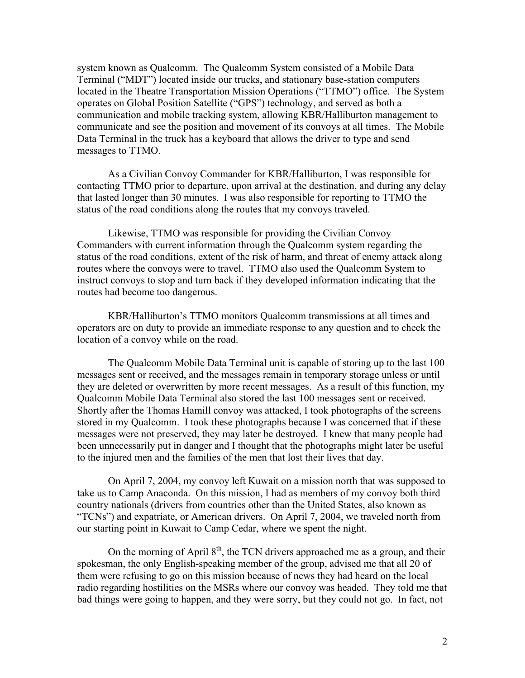system known as Qualcomm. The Qualcomm System consisted of a Mobile Data Terminal ("MDT") located inside our trucks, and stationary base-station computers located in the Theatre Transportation Mission Operations ("TTMO") office. The System operates on Global Position Satellite ("GPS") technology, and served as both a communication and mobile tracking system, allowing KBR/Halliburton management to communicate and see the position and movement of its convoys at all times. The Mobile Data Terminal in the truck has a keyboard that allows the driver to type and send messages to TTMO.

As a Civilian Convoy Commander for KBR/Halliburton, I was responsible for contacting TTMO prior to departure, upon arrival at the destination, and during any delay that lasted longer than 30 minutes. I was also responsible for reporting to TTMO the status of the road conditions along the routes that my convoys traveled.

Likewise, TTMO was responsible for providing the Civilian Convoy Commanders with current information through the Qualcomm system regarding the status of the road conditions, extent of the risk of harm, and threat of enemy attack along routes where the convoys were to travel. TTMO also used the Qualcomm System to instruct convoys to stop and turn back if they developed information indicating that the routes had become too dangerous.

KBR/Halliburton's TTMO monitors Qualcomm transmissions at all times and operators are on duty to provide an immediate response to any question and to check the location of a convoy while on the road.

The Qualcomm Mobile Data Terminal unit is capable of storing up to the last 100 messages sent or received, and the messages remain in temporary storage unless or until they are deleted or overwritten by more recent messages. As a result of this function, my Qualcomm Mobile Data Terminal also stored the last 100 messages sent or received. Shortly after the Thomas Hamill convoy was attacked, I took photographs of the screens stored in my Qualcomm. I took these photographs because I was concerned that if these messages were not preserved, they may later be destroyed. I knew that many people had been unnecessarily put in danger and I thought that the photographs might later be useful to the injured men and the families of the men that lost their lives that day.

On April 7, 2004, my convoy left Kuwait on a mission north that was supposed to take us to Camp Anaconda. On this mission, I had as members of my convoy both third country nationals (drivers from countries other than the United States, also known as "TCNs") and expatriate, or American drivers. On April 7, 2004, we traveled north from our starting point in Kuwait to Camp Cedar, where we spent the night.

On the morning of April  $8<sup>th</sup>$ , the TCN drivers approached me as a group, and their spokesman, the only English-speaking member of the group, advised me that all 20 of them were refusing to go on this mission because of news they had heard on the local radio regarding hostilities on the MSRs where our convoy was headed. They told me that bad things were going to happen, and they were sorry, but they could not go. In fact, not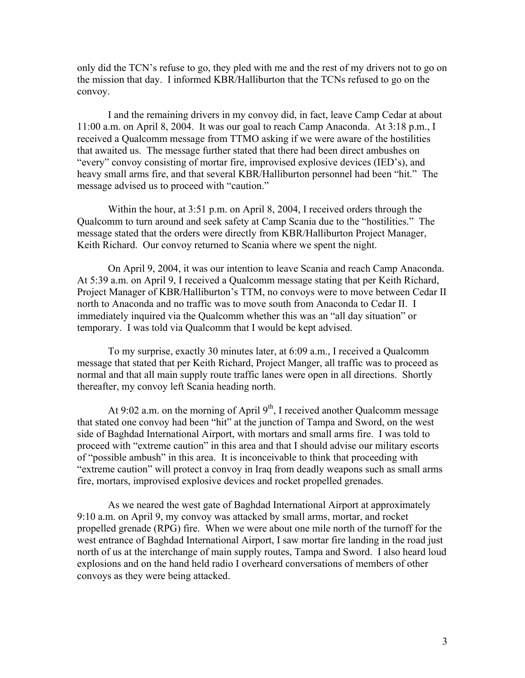only did the TCN's refuse to go, they pled with me and the rest of my drivers not to go on the mission that day. I informed KBR/Halliburton that the TCNs refused to go on the convoy.

I and the remaining drivers in my convoy did, in fact, leave Camp Cedar at about 11:00 a.m. on April 8, 2004. It was our goal to reach Camp Anaconda. At 3:18 p.m., I received a Qualcomm message from TTMO asking if we were aware of the hostilities that awaited us. The message further stated that there had been direct ambushes on "every" convoy consisting of mortar fire, improvised explosive devices (IED's), and heavy small arms fire, and that several KBR/Halliburton personnel had been "hit." The message advised us to proceed with "caution."

Within the hour, at 3:51 p.m. on April 8, 2004, I received orders through the Qualcomm to turn around and seek safety at Camp Scania due to the "hostilities." The message stated that the orders were directly from KBR/Halliburton Project Manager, Keith Richard. Our convoy returned to Scania where we spent the night.

On April 9, 2004, it was our intention to leave Scania and reach Camp Anaconda. At 5:39 a.m. on April 9, I received a Qualcomm message stating that per Keith Richard, Project Manager of KBR/Halliburton's TTM, no convoys were to move between Cedar II north to Anaconda and no traffic was to move south from Anaconda to Cedar II. I immediately inquired via the Qualcomm whether this was an "all day situation" or temporary. I was told via Qualcomm that I would be kept advised.

To my surprise, exactly 30 minutes later, at 6:09 a.m., I received a Qualcomm message that stated that per Keith Richard, Project Manger, all traffic was to proceed as normal and that all main supply route traffic lanes were open in all directions. Shortly thereafter, my convoy left Scania heading north.

At 9:02 a.m. on the morning of April  $9<sup>th</sup>$ , I received another Qualcomm message that stated one convoy had been "hit" at the junction of Tampa and Sword, on the west side of Baghdad International Airport, with mortars and small arms fire. I was told to proceed with "extreme caution" in this area and that I should advise our military escorts of "possible ambush" in this area. It is inconceivable to think that proceeding with "extreme caution" will protect a convoy in Iraq from deadly weapons such as small arms fire, mortars, improvised explosive devices and rocket propelled grenades.

As we neared the west gate of Baghdad International Airport at approximately 9:10 a.m. on April 9, my convoy was attacked by small arms, mortar, and rocket propelled grenade (RPG) fire. When we were about one mile north of the turnoff for the west entrance of Baghdad International Airport, I saw mortar fire landing in the road just north of us at the interchange of main supply routes, Tampa and Sword. I also heard loud explosions and on the hand held radio I overheard conversations of members of other convoys as they were being attacked.